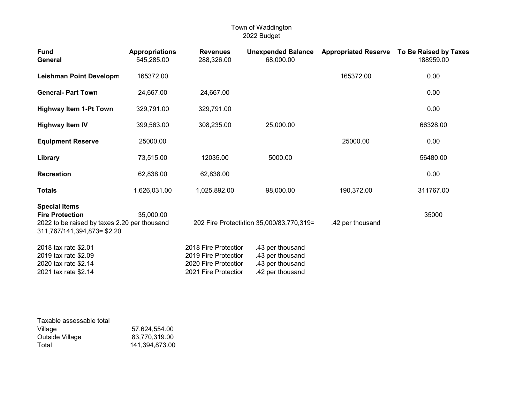| <b>Fund</b><br>General                                                                                                        | <b>Appropriations</b><br>545,285.00 | <b>Revenues</b><br>288,326.00                                                                | <b>Unexpended Balance</b><br>68,000.00                                       |                  | Appropriated Reserve To Be Raised by Taxes<br>188959.00 |
|-------------------------------------------------------------------------------------------------------------------------------|-------------------------------------|----------------------------------------------------------------------------------------------|------------------------------------------------------------------------------|------------------|---------------------------------------------------------|
| <b>Leishman Point Developm</b>                                                                                                | 165372.00                           |                                                                                              |                                                                              | 165372.00        | 0.00                                                    |
| <b>General- Part Town</b>                                                                                                     | 24,667.00                           | 24,667.00                                                                                    |                                                                              |                  | 0.00                                                    |
| <b>Highway Item 1-Pt Town</b>                                                                                                 | 329,791.00                          | 329,791.00                                                                                   |                                                                              |                  | 0.00                                                    |
| <b>Highway Item IV</b>                                                                                                        | 399,563.00                          | 308,235.00                                                                                   | 25,000.00                                                                    |                  | 66328.00                                                |
| <b>Equipment Reserve</b>                                                                                                      | 25000.00                            |                                                                                              |                                                                              | 25000.00         | 0.00                                                    |
| Library                                                                                                                       | 73,515.00                           | 12035.00                                                                                     | 5000.00                                                                      |                  | 56480.00                                                |
| <b>Recreation</b>                                                                                                             | 62,838.00                           | 62,838.00                                                                                    |                                                                              |                  | 0.00                                                    |
| <b>Totals</b>                                                                                                                 | 1,626,031.00                        | 1,025,892.00                                                                                 | 98,000.00                                                                    | 190,372.00       | 311767.00                                               |
| <b>Special Items</b><br><b>Fire Protection</b><br>2022 to be raised by taxes 2.20 per thousand<br>311,767/141,394,873= \$2.20 | 35,000.00                           |                                                                                              | 202 Fire Protectiction 35,000/83,770,319=                                    | .42 per thousand | 35000                                                   |
| 2018 tax rate \$2.01<br>2019 tax rate \$2.09<br>2020 tax rate \$2.14<br>2021 tax rate \$2.14                                  |                                     | 2018 Fire Protectior<br>2019 Fire Protectior<br>2020 Fire Protectior<br>2021 Fire Protectior | .43 per thousand<br>.43 per thousand<br>.43 per thousand<br>.42 per thousand |                  |                                                         |

| Taxable assessable total |                |
|--------------------------|----------------|
| Village                  | 57,624,554.00  |
| Outside Village          | 83.770.319.00  |
| Total                    | 141.394.873.00 |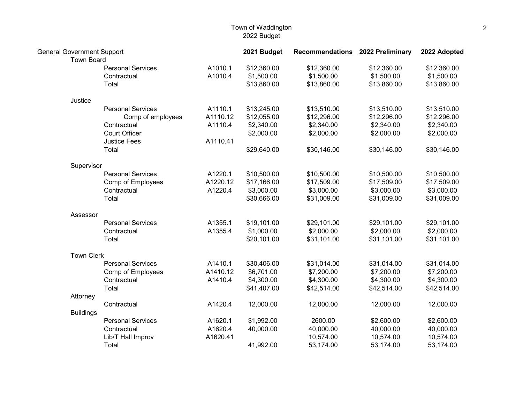| <b>General Government Support</b><br><b>Town Board</b> |                          |          | 2021 Budget | <b>Recommendations</b> | 2022 Preliminary | 2022 Adopted |
|--------------------------------------------------------|--------------------------|----------|-------------|------------------------|------------------|--------------|
|                                                        | <b>Personal Services</b> | A1010.1  | \$12,360.00 | \$12,360.00            | \$12,360.00      | \$12,360.00  |
|                                                        | Contractual              | A1010.4  | \$1,500.00  | \$1,500.00             | \$1,500.00       | \$1,500.00   |
|                                                        | Total                    |          | \$13,860.00 | \$13,860.00            | \$13,860.00      | \$13,860.00  |
|                                                        |                          |          |             |                        |                  |              |
| Justice                                                |                          |          |             |                        |                  |              |
|                                                        | <b>Personal Services</b> | A1110.1  | \$13,245.00 | \$13,510.00            | \$13,510.00      | \$13,510.00  |
|                                                        | Comp of employees        | A1110.12 | \$12,055.00 | \$12,296.00            | \$12,296.00      | \$12,296.00  |
|                                                        | Contractual              | A1110.4  | \$2,340.00  | \$2,340.00             | \$2,340.00       | \$2,340.00   |
|                                                        | <b>Court Officer</b>     |          | \$2,000.00  | \$2,000.00             | \$2,000.00       | \$2,000.00   |
|                                                        | <b>Justice Fees</b>      | A1110.41 |             |                        |                  |              |
|                                                        | Total                    |          | \$29,640.00 | \$30,146.00            | \$30,146.00      | \$30,146.00  |
| Supervisor                                             |                          |          |             |                        |                  |              |
|                                                        | <b>Personal Services</b> | A1220.1  | \$10,500.00 | \$10,500.00            | \$10,500.00      | \$10,500.00  |
|                                                        | Comp of Employees        | A1220.12 | \$17,166.00 | \$17,509.00            | \$17,509.00      | \$17,509.00  |
|                                                        | Contractual              | A1220.4  | \$3,000.00  | \$3,000.00             | \$3,000.00       | \$3,000.00   |
|                                                        | Total                    |          | \$30,666.00 | \$31,009.00            | \$31,009.00      | \$31,009.00  |
|                                                        |                          |          |             |                        |                  |              |
| Assessor                                               |                          |          |             |                        |                  |              |
|                                                        | <b>Personal Services</b> | A1355.1  | \$19,101.00 | \$29,101.00            | \$29,101.00      | \$29,101.00  |
|                                                        | Contractual              | A1355.4  | \$1,000.00  | \$2,000.00             | \$2,000.00       | \$2,000.00   |
|                                                        | Total                    |          | \$20,101.00 | \$31,101.00            | \$31,101.00      | \$31,101.00  |
| <b>Town Clerk</b>                                      |                          |          |             |                        |                  |              |
|                                                        | <b>Personal Services</b> | A1410.1  | \$30,406.00 | \$31,014.00            | \$31,014.00      | \$31,014.00  |
|                                                        | Comp of Employees        | A1410.12 | \$6,701.00  | \$7,200.00             | \$7,200.00       | \$7,200.00   |
|                                                        | Contractual              | A1410.4  | \$4,300.00  | \$4,300.00             | \$4,300.00       | \$4,300.00   |
|                                                        | Total                    |          | \$41,407.00 | \$42,514.00            | \$42,514.00      | \$42,514.00  |
| Attorney                                               |                          |          |             |                        |                  |              |
|                                                        | Contractual              | A1420.4  | 12,000.00   | 12,000.00              | 12,000.00        | 12,000.00    |
| <b>Buildings</b>                                       |                          |          |             |                        |                  |              |
|                                                        | <b>Personal Services</b> | A1620.1  | \$1,992.00  | 2600.00                | \$2,600.00       | \$2,600.00   |
|                                                        | Contractual              | A1620.4  | 40,000.00   | 40,000.00              | 40,000.00        | 40,000.00    |
|                                                        | Lib/T Hall Improv        | A1620.41 |             | 10,574.00              | 10,574.00        | 10,574.00    |
|                                                        | Total                    |          | 41,992.00   | 53,174.00              | 53,174.00        | 53,174.00    |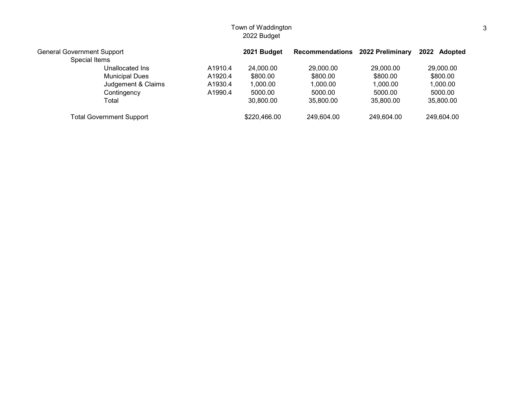| <b>General Government Support</b> |         | 2021 Budget  | <b>Recommendations</b> | 2022 Preliminary | 2022 Adopted |
|-----------------------------------|---------|--------------|------------------------|------------------|--------------|
| Special Items                     |         |              |                        |                  |              |
| Unallocated Ins                   | A1910.4 | 24,000.00    | 29,000,00              | 29,000.00        | 29,000.00    |
| <b>Municipal Dues</b>             | A1920.4 | \$800.00     | \$800.00               | \$800.00         | \$800.00     |
| Judgement & Claims                | A1930.4 | 1,000.00     | 1.000.00               | 1,000.00         | 1,000.00     |
| Contingency                       | A1990.4 | 5000.00      | 5000.00                | 5000.00          | 5000.00      |
| Total                             |         | 30,800.00    | 35,800.00              | 35,800.00        | 35,800.00    |
| <b>Total Government Support</b>   |         | \$220,466.00 | 249,604.00             | 249,604.00       | 249,604.00   |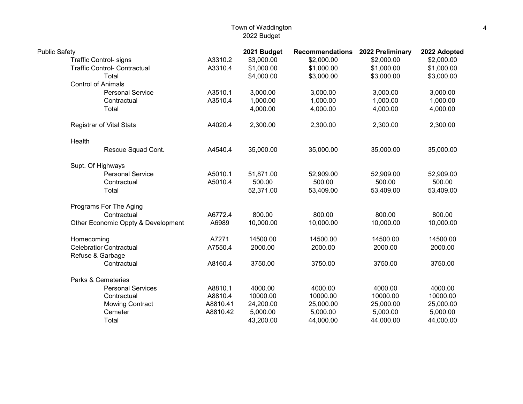| <b>Public Safety</b>                |          | 2021 Budget | <b>Recommendations</b> | 2022 Preliminary | 2022 Adopted |
|-------------------------------------|----------|-------------|------------------------|------------------|--------------|
| <b>Traffic Control- signs</b>       | A3310.2  | \$3,000.00  | \$2,000.00             | \$2,000.00       | \$2,000.00   |
| <b>Traffic Control- Contractual</b> | A3310.4  | \$1,000.00  | \$1,000.00             | \$1,000.00       | \$1,000.00   |
| Total                               |          | \$4,000.00  | \$3,000.00             | \$3,000.00       | \$3,000.00   |
| <b>Control of Animals</b>           |          |             |                        |                  |              |
| <b>Personal Service</b>             | A3510.1  | 3,000.00    | 3,000.00               | 3,000.00         | 3,000.00     |
| Contractual                         | A3510.4  | 1,000.00    | 1,000.00               | 1,000.00         | 1,000.00     |
| Total                               |          | 4,000.00    | 4,000.00               | 4,000.00         | 4,000.00     |
| Registrar of Vital Stats            | A4020.4  | 2,300.00    | 2,300.00               | 2,300.00         | 2,300.00     |
| Health                              |          |             |                        |                  |              |
| Rescue Squad Cont.                  | A4540.4  | 35,000.00   | 35,000.00              | 35,000.00        | 35,000.00    |
| Supt. Of Highways                   |          |             |                        |                  |              |
| <b>Personal Service</b>             | A5010.1  | 51,871.00   | 52,909.00              | 52,909.00        | 52,909.00    |
| Contractual                         | A5010.4  | 500.00      | 500.00                 | 500.00           | 500.00       |
| Total                               |          | 52,371.00   | 53,409.00              | 53,409.00        | 53,409.00    |
| Programs For The Aging              |          |             |                        |                  |              |
| Contractual                         | A6772.4  | 800.00      | 800.00                 | 800.00           | 800.00       |
| Other Economic Oppty & Development  | A6989    | 10,000.00   | 10,000.00              | 10,000.00        | 10,000.00    |
| Homecoming                          | A7271    | 14500.00    | 14500.00               | 14500.00         | 14500.00     |
| <b>Celebratior Contractual</b>      | A7550.4  | 2000.00     | 2000.00                | 2000.00          | 2000.00      |
| Refuse & Garbage                    |          |             |                        |                  |              |
| Contractual                         | A8160.4  | 3750.00     | 3750.00                | 3750.00          | 3750.00      |
| Parks & Cemeteries                  |          |             |                        |                  |              |
| <b>Personal Services</b>            | A8810.1  | 4000.00     | 4000.00                | 4000.00          | 4000.00      |
| Contractual                         | A8810.4  | 10000.00    | 10000.00               | 10000.00         | 10000.00     |
| <b>Mowing Contract</b>              | A8810.41 | 24,200.00   | 25,000.00              | 25,000.00        | 25,000.00    |
| Cemeter                             | A8810.42 | 5,000.00    | 5,000.00               | 5,000.00         | 5,000.00     |
| Total                               |          | 43,200.00   | 44,000.00              | 44,000.00        | 44,000.00    |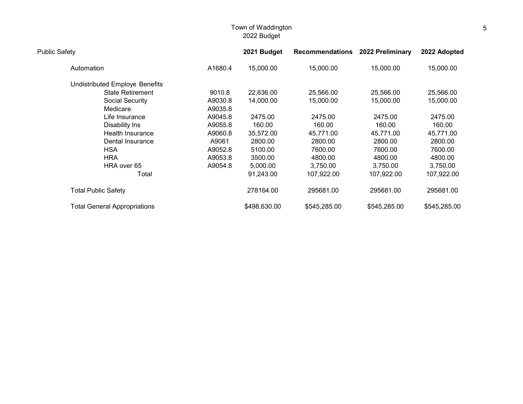| <b>Public Safety</b>                  |         | 2021 Budget  | <b>Recommendations</b> | 2022 Preliminary | 2022 Adopted |
|---------------------------------------|---------|--------------|------------------------|------------------|--------------|
| Automation                            | A1680.4 | 15,000.00    | 15,000.00              | 15,000.00        | 15,000.00    |
| <b>Undistributed Employe Benefits</b> |         |              |                        |                  |              |
| <b>State Retirement</b>               | 9010.8  | 22,636.00    | 25,566.00              | 25,566.00        | 25,566.00    |
| Social Security                       | A9030.8 | 14,000.00    | 15,000.00              | 15,000.00        | 15,000.00    |
| Medicare                              | A9035.8 |              |                        |                  |              |
| Life Insurance                        | A9045.8 | 2475.00      | 2475.00                | 2475.00          | 2475.00      |
| Disability Ins                        | A9055.8 | 160.00       | 160.00                 | 160.00           | 160.00       |
| Health Insurance                      | A9060.8 | 35,572.00    | 45,771.00              | 45,771.00        | 45,771.00    |
| Dental Insurance                      | A9061   | 2800.00      | 2800.00                | 2800.00          | 2800.00      |
| <b>HSA</b>                            | A9052.8 | 5100.00      | 7600.00                | 7600.00          | 7600.00      |
| <b>HRA</b>                            | A9053.8 | 3500.00      | 4800.00                | 4800.00          | 4800.00      |
| HRA over 65                           | A9054.8 | 5,000.00     | 3,750.00               | 3,750.00         | 3,750.00     |
| Total                                 |         | 91,243.00    | 107,922.00             | 107,922.00       | 107,922.00   |
| <b>Total Public Safety</b>            |         | 278164.00    | 295681.00              | 295681.00        | 295681.00    |
| <b>Total General Appropriations</b>   |         | \$498,630.00 | \$545,285.00           | \$545,285.00     | \$545,285.00 |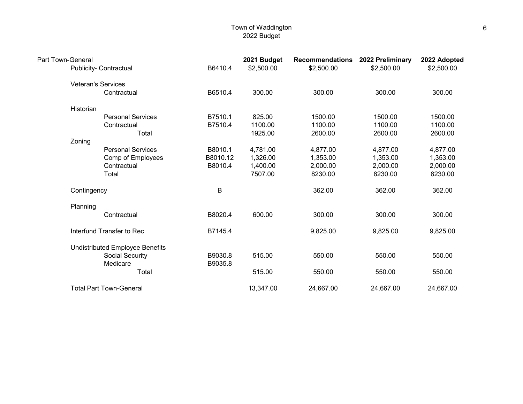| Part Town-General | <b>Publicity- Contractual</b>   | B6410.4  | 2021 Budget<br>\$2,500.00 | <b>Recommendations</b><br>\$2,500.00 | 2022 Preliminary<br>\$2,500.00 | 2022 Adopted<br>\$2,500.00 |
|-------------------|---------------------------------|----------|---------------------------|--------------------------------------|--------------------------------|----------------------------|
|                   |                                 |          |                           |                                      |                                |                            |
|                   | <b>Veteran's Services</b>       |          |                           |                                      |                                |                            |
|                   | Contractual                     | B6510.4  | 300.00                    | 300.00                               | 300.00                         | 300.00                     |
| Historian         |                                 |          |                           |                                      |                                |                            |
|                   | <b>Personal Services</b>        | B7510.1  | 825.00                    | 1500.00                              | 1500.00                        | 1500.00                    |
|                   | Contractual                     | B7510.4  | 1100.00                   | 1100.00                              | 1100.00                        | 1100.00                    |
|                   | Total                           |          | 1925.00                   | 2600.00                              | 2600.00                        | 2600.00                    |
| Zoning            |                                 |          |                           |                                      |                                |                            |
|                   | <b>Personal Services</b>        | B8010.1  | 4,781.00                  | 4,877.00                             | 4,877.00                       | 4,877.00                   |
|                   | Comp of Employees               | B8010.12 | 1,326.00                  | 1,353.00                             | 1,353.00                       | 1,353.00                   |
|                   | Contractual                     | B8010.4  | 1,400.00                  | 2,000.00                             | 2,000.00                       | 2,000.00                   |
|                   | Total                           |          | 7507.00                   | 8230.00                              | 8230.00                        | 8230.00                    |
| Contingency       |                                 | B        |                           | 362.00                               | 362.00                         | 362.00                     |
| Planning          |                                 |          |                           |                                      |                                |                            |
|                   | Contractual                     | B8020.4  | 600.00                    | 300.00                               | 300.00                         | 300.00                     |
|                   | Interfund Transfer to Rec       | B7145.4  |                           | 9,825.00                             | 9,825.00                       | 9,825.00                   |
|                   | Undistributed Employee Benefits |          |                           |                                      |                                |                            |
|                   | Social Security                 | B9030.8  | 515.00                    | 550.00                               | 550.00                         | 550.00                     |
|                   | Medicare                        | B9035.8  |                           |                                      |                                |                            |
|                   | Total                           |          | 515.00                    | 550.00                               | 550.00                         | 550.00                     |
|                   | <b>Total Part Town-General</b>  |          | 13,347.00                 | 24,667.00                            | 24,667.00                      | 24,667.00                  |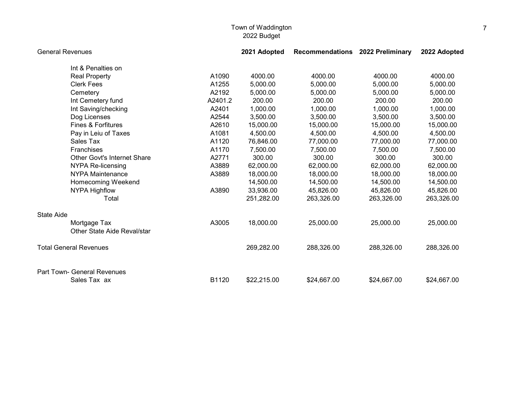| <b>General Revenues</b> |                                    |         | 2021 Adopted | Recommendations 2022 Preliminary |             | 2022 Adopted |
|-------------------------|------------------------------------|---------|--------------|----------------------------------|-------------|--------------|
|                         | Int & Penalties on                 |         |              |                                  |             |              |
|                         | <b>Real Property</b>               | A1090   | 4000.00      | 4000.00                          | 4000.00     | 4000.00      |
|                         | <b>Clerk Fees</b>                  | A1255   | 5,000.00     | 5,000.00                         | 5,000.00    | 5,000.00     |
|                         | Cemetery                           | A2192   | 5,000.00     | 5,000.00                         | 5,000.00    | 5,000.00     |
|                         | Int Cemetery fund                  | A2401.2 | 200.00       | 200.00                           | 200.00      | 200.00       |
|                         | Int Saving/checking                | A2401   | 1,000.00     | 1,000.00                         | 1,000.00    | 1,000.00     |
|                         | Dog Licenses                       | A2544   | 3,500.00     | 3,500.00                         | 3,500.00    | 3,500.00     |
|                         | <b>Fines &amp; Forfitures</b>      | A2610   | 15,000.00    | 15,000.00                        | 15,000.00   | 15,000.00    |
|                         | Pay in Leiu of Taxes               | A1081   | 4,500.00     | 4,500.00                         | 4,500.00    | 4,500.00     |
|                         | Sales Tax                          | A1120   | 76,846.00    | 77,000.00                        | 77,000.00   | 77,000.00    |
|                         | Franchises                         | A1170   | 7,500.00     | 7,500.00                         | 7,500.00    | 7,500.00     |
|                         | <b>Other Govt's Internet Share</b> | A2771   | 300.00       | 300.00                           | 300.00      | 300.00       |
|                         | <b>NYPA Re-licensing</b>           | A3889   | 62,000.00    | 62,000.00                        | 62,000.00   | 62,000.00    |
|                         | <b>NYPA Maintenance</b>            | A3889   | 18,000.00    | 18,000.00                        | 18,000.00   | 18,000.00    |
|                         | Homecoming Weekend                 |         | 14,500.00    | 14,500.00                        | 14,500.00   | 14,500.00    |
|                         | <b>NYPA Highflow</b>               | A3890   | 33,936.00    | 45,826.00                        | 45,826.00   | 45,826.00    |
|                         | Total                              |         | 251,282.00   | 263,326.00                       | 263,326.00  | 263,326.00   |
| <b>State Aide</b>       |                                    |         |              |                                  |             |              |
|                         | Mortgage Tax                       | A3005   | 18,000.00    | 25,000.00                        | 25,000.00   | 25,000.00    |
|                         | Other State Aide Reval/star        |         |              |                                  |             |              |
|                         | <b>Total General Revenues</b>      |         | 269,282.00   | 288,326.00                       | 288,326.00  | 288,326.00   |
|                         | Part Town- General Revenues        |         |              |                                  |             |              |
|                         | Sales Tax ax                       | B1120   | \$22,215.00  | \$24,667.00                      | \$24,667.00 | \$24,667.00  |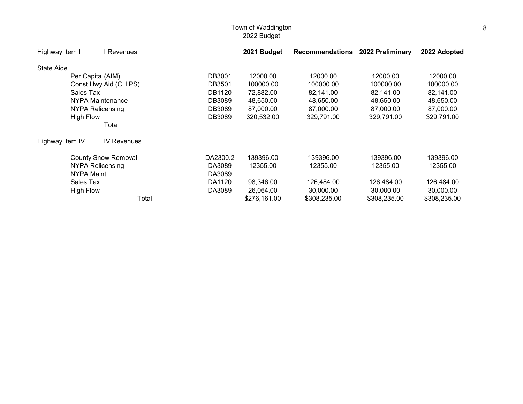| Highway Item I    | l Revenues                 |          | 2021 Budget  | <b>Recommendations</b> | 2022 Preliminary | 2022 Adopted |
|-------------------|----------------------------|----------|--------------|------------------------|------------------|--------------|
| <b>State Aide</b> |                            |          |              |                        |                  |              |
|                   | Per Capita (AIM)           | DB3001   | 12000.00     | 12000.00               | 12000.00         | 12000.00     |
|                   | Const Hwy Aid (CHIPS)      | DB3501   | 100000.00    | 100000.00              | 100000.00        | 100000.00    |
| Sales Tax         |                            | DB1120   | 72,882.00    | 82,141.00              | 82,141.00        | 82,141.00    |
|                   | NYPA Maintenance           | DB3089   | 48,650.00    | 48,650.00              | 48,650.00        | 48,650.00    |
|                   | <b>NYPA Relicensing</b>    | DB3089   | 87,000.00    | 87,000.00              | 87,000.00        | 87,000.00    |
| <b>High Flow</b>  |                            | DB3089   | 320,532.00   | 329,791.00             | 329,791.00       | 329,791.00   |
|                   | Total                      |          |              |                        |                  |              |
| Highway Item IV   | <b>IV Revenues</b>         |          |              |                        |                  |              |
|                   | <b>County Snow Removal</b> | DA2300.2 | 139396.00    | 139396.00              | 139396.00        | 139396.00    |
|                   | NYPA Relicensing           | DA3089   | 12355.00     | 12355.00               | 12355.00         | 12355.00     |
| <b>NYPA Maint</b> |                            | DA3089   |              |                        |                  |              |
| Sales Tax         |                            | DA1120   | 98,346.00    | 126,484.00             | 126,484.00       | 126,484.00   |
| <b>High Flow</b>  |                            | DA3089   | 26,064.00    | 30,000.00              | 30,000.00        | 30,000.00    |
|                   | Total                      |          | \$276,161.00 | \$308,235.00           | \$308,235.00     | \$308,235.00 |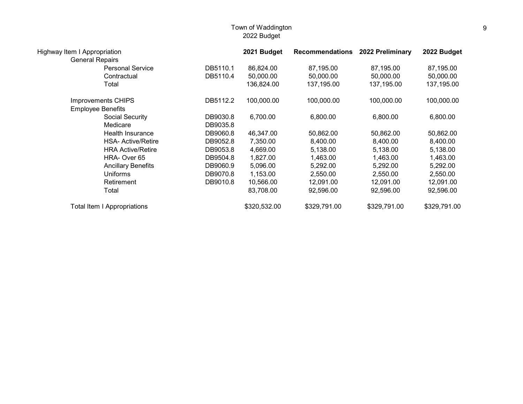| Highway Item I Appropriation       |          | 2021 Budget  | <b>Recommendations</b> | 2022 Preliminary | 2022 Budget  |
|------------------------------------|----------|--------------|------------------------|------------------|--------------|
| <b>General Repairs</b>             |          |              |                        |                  |              |
| <b>Personal Service</b>            | DB5110.1 | 86,824.00    | 87,195.00              | 87,195.00        | 87,195.00    |
| Contractual                        | DB5110.4 | 50,000.00    | 50,000.00              | 50,000.00        | 50,000.00    |
| Total                              |          | 136,824.00   | 137,195.00             | 137,195.00       | 137,195.00   |
| <b>Improvements CHIPS</b>          | DB5112.2 | 100,000.00   | 100,000.00             | 100,000.00       | 100,000.00   |
| <b>Employee Benefits</b>           |          |              |                        |                  |              |
| Social Security                    | DB9030.8 | 6,700.00     | 6,800.00               | 6,800.00         | 6,800.00     |
| Medicare                           | DB9035.8 |              |                        |                  |              |
| Health Insurance                   | DB9060.8 | 46,347.00    | 50,862.00              | 50,862.00        | 50,862.00    |
| <b>HSA- Active/Retire</b>          | DB9052.8 | 7,350.00     | 8,400.00               | 8,400.00         | 8,400.00     |
| <b>HRA Active/Retire</b>           | DB9053.8 | 4,669.00     | 5,138.00               | 5,138.00         | 5,138.00     |
| HRA-Over 65                        | DB9504.8 | 1,827.00     | 1,463.00               | 1,463.00         | 1,463.00     |
| <b>Ancillary Benefits</b>          | DB9060.9 | 5,096.00     | 5,292.00               | 5,292.00         | 5,292.00     |
| <b>Uniforms</b>                    | DB9070.8 | 1,153.00     | 2,550.00               | 2,550.00         | 2,550.00     |
| Retirement                         | DB9010.8 | 10,566.00    | 12,091.00              | 12,091.00        | 12,091.00    |
| Total                              |          | 83,708.00    | 92,596.00              | 92,596.00        | 92,596.00    |
| <b>Total Item I Appropriations</b> |          | \$320,532.00 | \$329,791.00           | \$329,791.00     | \$329,791.00 |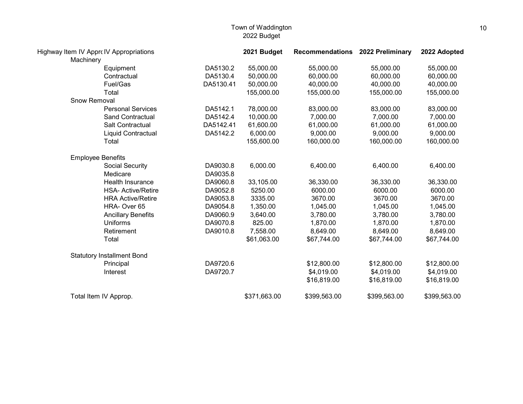| Highway Item IV Apprc IV Appropriations<br>Machinery |                                   |           | 2021 Budget  | Recommendations 2022 Preliminary |              | 2022 Adopted |
|------------------------------------------------------|-----------------------------------|-----------|--------------|----------------------------------|--------------|--------------|
|                                                      | Equipment                         | DA5130.2  | 55,000.00    | 55,000.00                        | 55,000.00    | 55,000.00    |
|                                                      | Contractual                       | DA5130.4  | 50,000.00    | 60,000.00                        | 60,000.00    | 60,000.00    |
|                                                      | Fuel/Gas                          | DA5130.41 | 50,000.00    | 40,000.00                        | 40,000.00    | 40,000.00    |
|                                                      | Total                             |           | 155,000.00   | 155,000.00                       | 155,000.00   | 155,000.00   |
| <b>Snow Removal</b>                                  |                                   |           |              |                                  |              |              |
|                                                      | <b>Personal Services</b>          | DA5142.1  | 78,000.00    | 83,000.00                        | 83,000.00    | 83,000.00    |
|                                                      | <b>Sand Contractual</b>           | DA5142.4  | 10,000.00    | 7,000.00                         | 7,000.00     | 7,000.00     |
|                                                      | Salt Contractual                  | DA5142.41 | 61,600.00    | 61,000.00                        | 61,000.00    | 61,000.00    |
|                                                      | Liquid Contractual                | DA5142.2  | 6,000.00     | 9,000.00                         | 9,000.00     | 9,000.00     |
|                                                      | Total                             |           | 155,600.00   | 160,000.00                       | 160,000.00   | 160,000.00   |
| <b>Employee Benefits</b>                             |                                   |           |              |                                  |              |              |
|                                                      | Social Security                   | DA9030.8  | 6,000.00     | 6,400.00                         | 6,400.00     | 6,400.00     |
|                                                      | Medicare                          | DA9035.8  |              |                                  |              |              |
|                                                      | Health Insurance                  | DA9060.8  | 33,105.00    | 36,330.00                        | 36,330.00    | 36,330.00    |
|                                                      | <b>HSA- Active/Retire</b>         | DA9052.8  | 5250.00      | 6000.00                          | 6000.00      | 6000.00      |
|                                                      | <b>HRA Active/Retire</b>          | DA9053.8  | 3335.00      | 3670.00                          | 3670.00      | 3670.00      |
|                                                      | HRA-Over 65                       | DA9054.8  | 1,350.00     | 1,045.00                         | 1,045.00     | 1,045.00     |
|                                                      | <b>Ancillary Benefits</b>         | DA9060.9  | 3,640.00     | 3,780.00                         | 3,780.00     | 3,780.00     |
|                                                      | <b>Uniforms</b>                   | DA9070.8  | 825.00       | 1,870.00                         | 1,870.00     | 1,870.00     |
|                                                      | Retirement                        | DA9010.8  | 7,558.00     | 8,649.00                         | 8,649.00     | 8,649.00     |
|                                                      | Total                             |           | \$61,063.00  | \$67,744.00                      | \$67,744.00  | \$67,744.00  |
|                                                      | <b>Statutory Installment Bond</b> |           |              |                                  |              |              |
|                                                      | Principal                         | DA9720.6  |              | \$12,800.00                      | \$12,800.00  | \$12,800.00  |
|                                                      | Interest                          | DA9720.7  |              | \$4,019.00                       | \$4,019.00   | \$4,019.00   |
|                                                      |                                   |           |              | \$16,819.00                      | \$16,819.00  | \$16,819.00  |
|                                                      | Total Item IV Approp.             |           | \$371,663.00 | \$399,563.00                     | \$399,563.00 | \$399,563.00 |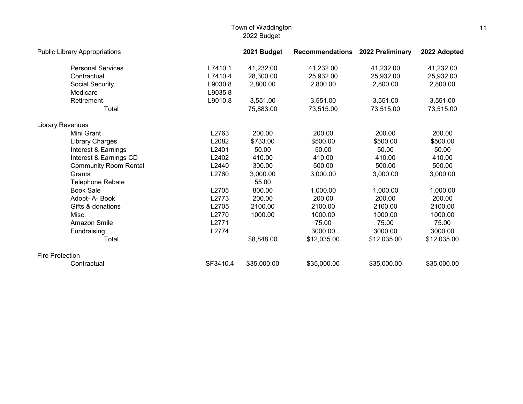| <b>Public Library Appropriations</b> |          | 2021 Budget | Recommendations 2022 Preliminary |             | 2022 Adopted |
|--------------------------------------|----------|-------------|----------------------------------|-------------|--------------|
| <b>Personal Services</b>             | L7410.1  | 41,232.00   | 41,232.00                        | 41,232.00   | 41,232.00    |
| Contractual                          | L7410.4  | 28,300.00   | 25,932.00                        | 25,932.00   | 25,932.00    |
| Social Security                      | L9030.8  | 2,800.00    | 2,800.00                         | 2,800.00    | 2,800.00     |
| Medicare                             | L9035.8  |             |                                  |             |              |
| Retirement                           | L9010.8  | 3,551.00    | 3,551.00                         | 3,551.00    | 3,551.00     |
| Total                                |          | 75,883.00   | 73,515.00                        | 73,515.00   | 73,515.00    |
| <b>Library Revenues</b>              |          |             |                                  |             |              |
| Mini Grant                           | L2763    | 200.00      | 200.00                           | 200.00      | 200.00       |
| Library Charges                      | L2082    | \$733.00    | \$500.00                         | \$500.00    | \$500.00     |
| Interest & Earnings                  | L2401    | 50.00       | 50.00                            | 50.00       | 50.00        |
| Interest & Earnings CD               | L2402    | 410.00      | 410.00                           | 410.00      | 410.00       |
| <b>Community Room Rental</b>         | L2440    | 300.00      | 500.00                           | 500.00      | 500.00       |
| Grants                               | L2760    | 3,000.00    | 3,000.00                         | 3,000.00    | 3,000.00     |
| <b>Telephone Rebate</b>              |          | 55.00       |                                  |             |              |
| <b>Book Sale</b>                     | L2705    | 800.00      | 1,000.00                         | 1,000.00    | 1,000.00     |
| Adopt- A- Book                       | L2773    | 200.00      | 200.00                           | 200.00      | 200.00       |
| Gifts & donations                    | L2705    | 2100.00     | 2100.00                          | 2100.00     | 2100.00      |
| Misc.                                | L2770    | 1000.00     | 1000.00                          | 1000.00     | 1000.00      |
| Amazon Smile                         | L2771    |             | 75.00                            | 75.00       | 75.00        |
| Fundraising                          | L2774    |             | 3000.00                          | 3000.00     | 3000.00      |
| Total                                |          | \$8,848.00  | \$12,035.00                      | \$12,035.00 | \$12,035.00  |
| <b>Fire Protection</b>               |          |             |                                  |             |              |
| Contractual                          | SF3410.4 | \$35,000.00 | \$35,000.00                      | \$35,000.00 | \$35,000.00  |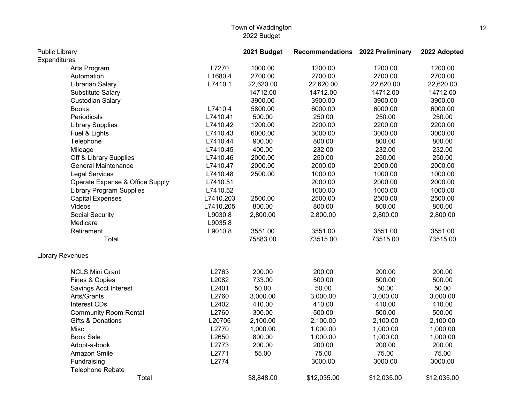| Public Library          |                                 | 2021 Budget | Recommendations 2022 Preliminary |             | 2022 Adopted |             |
|-------------------------|---------------------------------|-------------|----------------------------------|-------------|--------------|-------------|
| Expenditures            |                                 |             |                                  |             |              |             |
|                         | Arts Program                    | L7270       | 1000.00                          | 1200.00     | 1200.00      | 1200.00     |
|                         | Automation                      | L1680.4     | 2700.00                          | 2700.00     | 2700.00      | 2700.00     |
|                         | Librarian Salary                | L7410.1     | 22,620.00                        | 22,620.00   | 22,620.00    | 22,620.00   |
|                         | <b>Substitute Salary</b>        |             | 14712.00                         | 14712.00    | 14712.00     | 14712.00    |
|                         | <b>Custodian Salary</b>         |             | 3900.00                          | 3900.00     | 3900.00      | 3900.00     |
| <b>Books</b>            |                                 | L7410.4     | 5800.00                          | 6000.00     | 6000.00      | 6000.00     |
|                         | Periodicals                     | L7410.41    | 500.00                           | 250.00      | 250.00       | 250.00      |
|                         | <b>Library Supplies</b>         | L7410.42    | 1200.00                          | 2200.00     | 2200.00      | 2200.00     |
|                         | Fuel & Lights                   | L7410.43    | 6000.00                          | 3000.00     | 3000.00      | 3000.00     |
|                         | Telephone                       | L7410.44    | 900.00                           | 800.00      | 800.00       | 800.00      |
| Mileage                 |                                 | L7410.45    | 400.00                           | 232.00      | 232.00       | 232.00      |
|                         | Off & Library Supplies          | L7410.46    | 2000.00                          | 250.00      | 250.00       | 250.00      |
|                         | <b>General Maintenance</b>      | L7410.47    | 2000.00                          | 2000.00     | 2000.00      | 2000.00     |
|                         | <b>Legal Services</b>           | L7410.48    | 2500.00                          | 1000.00     | 1000.00      | 1000.00     |
|                         | Operate Expense & Office Supply | L7410.51    |                                  | 2000.00     | 2000.00      | 2000.00     |
|                         | <b>Library Program Supplies</b> | L7410.52    |                                  | 1000.00     | 1000.00      | 1000.00     |
|                         | <b>Capital Expenses</b>         | L7410.203   | 2500.00                          | 2500.00     | 2500.00      | 2500.00     |
| Videos                  |                                 | L7410.205   | 800.00                           | 800.00      | 800.00       | 800.00      |
|                         | Social Security                 | L9030.8     | 2,800.00                         | 2,800.00    | 2,800.00     | 2,800.00    |
| Medicare                |                                 | L9035.8     |                                  |             |              |             |
|                         | Retirement                      | L9010.8     | 3551.00                          | 3551.00     | 3551.00      | 3551.00     |
|                         | Total                           |             | 75883.00                         | 73515.00    | 73515.00     | 73515.00    |
| <b>Library Revenues</b> |                                 |             |                                  |             |              |             |
|                         | <b>NCLS Mini Grant</b>          | L2763       | 200.00                           | 200.00      | 200.00       | 200.00      |
|                         | Fines & Copies                  | L2082       | 733.00                           | 500.00      | 500.00       | 500.00      |
|                         | Savings Acct Interest           | L2401       | 50.00                            | 50.00       | 50.00        | 50.00       |
|                         | Arts/Grants                     | L2760       | 3,000.00                         | 3,000.00    | 3,000.00     | 3,000.00    |
|                         | Interest CDs                    | L2402       | 410.00                           | 410.00      | 410.00       | 410.00      |
|                         | <b>Community Room Rental</b>    | L2760       | 300.00                           | 500.00      | 500.00       | 500.00      |
|                         | Gifts & Donations               | L20705      | 2,100.00                         | 2,100.00    | 2,100.00     | 2,100.00    |
| Misc                    |                                 | L2770       | 1,000.00                         | 1,000.00    | 1,000.00     | 1,000.00    |
| <b>Book Sale</b>        |                                 | L2650       | 800.00                           | 1,000.00    | 1,000.00     | 1,000.00    |
|                         | Adopt-a-book                    | L2773       | 200.00                           | 200.00      | 200.00       | 200.00      |
|                         | Amazon Smile                    | L2771       | 55.00                            | 75.00       | 75.00        | 75.00       |
|                         | Fundraising                     | L2774       |                                  | 3000.00     | 3000.00      | 3000.00     |
|                         | <b>Telephone Rebate</b>         |             |                                  |             |              |             |
|                         | Total                           |             | \$8,848.00                       | \$12,035.00 | \$12,035.00  | \$12,035.00 |